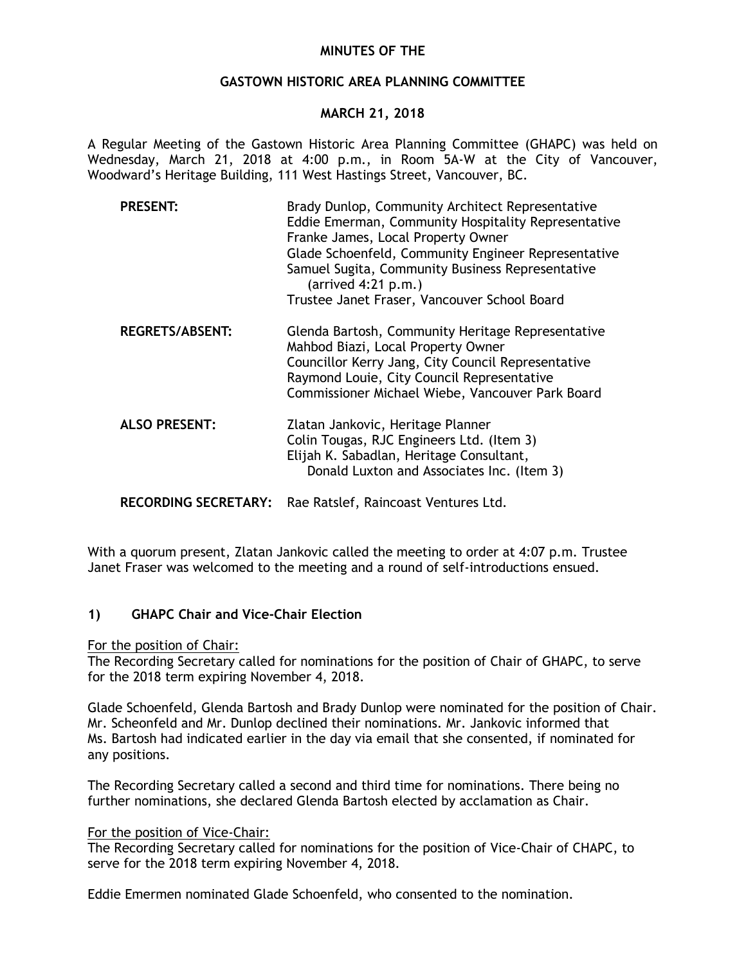# **MINUTES OF THE**

# **GASTOWN HISTORIC AREA PLANNING COMMITTEE**

# **MARCH 21, 2018**

A Regular Meeting of the Gastown Historic Area Planning Committee (GHAPC) was held on Wednesday, March 21, 2018 at 4:00 p.m., in Room 5A-W at the City of Vancouver, Woodward's Heritage Building, 111 West Hastings Street, Vancouver, BC.

| <b>PRESENT:</b>        | Brady Dunlop, Community Architect Representative<br>Eddie Emerman, Community Hospitality Representative<br>Franke James, Local Property Owner<br>Glade Schoenfeld, Community Engineer Representative<br>Samuel Sugita, Community Business Representative<br>$(\text{arrived }4:21 \text{ p.m.})$<br>Trustee Janet Fraser, Vancouver School Board |
|------------------------|--------------------------------------------------------------------------------------------------------------------------------------------------------------------------------------------------------------------------------------------------------------------------------------------------------------------------------------------------|
| <b>REGRETS/ABSENT:</b> | Glenda Bartosh, Community Heritage Representative<br>Mahbod Biazi, Local Property Owner<br>Councillor Kerry Jang, City Council Representative<br>Raymond Louie, City Council Representative<br>Commissioner Michael Wiebe, Vancouver Park Board                                                                                                  |
| <b>ALSO PRESENT:</b>   | Zlatan Jankovic, Heritage Planner<br>Colin Tougas, RJC Engineers Ltd. (Item 3)<br>Elijah K. Sabadlan, Heritage Consultant,<br>Donald Luxton and Associates Inc. (Item 3)                                                                                                                                                                         |

**RECORDING SECRETARY:** Rae Ratslef, Raincoast Ventures Ltd.

With a quorum present, Zlatan Jankovic called the meeting to order at 4:07 p.m. Trustee Janet Fraser was welcomed to the meeting and a round of self-introductions ensued.

# **1) GHAPC Chair and Vice-Chair Election**

### For the position of Chair:

The Recording Secretary called for nominations for the position of Chair of GHAPC, to serve for the 2018 term expiring November 4, 2018.

Glade Schoenfeld, Glenda Bartosh and Brady Dunlop were nominated for the position of Chair. Mr. Scheonfeld and Mr. Dunlop declined their nominations. Mr. Jankovic informed that Ms. Bartosh had indicated earlier in the day via email that she consented, if nominated for any positions.

The Recording Secretary called a second and third time for nominations. There being no further nominations, she declared Glenda Bartosh elected by acclamation as Chair.

### For the position of Vice-Chair:

The Recording Secretary called for nominations for the position of Vice-Chair of CHAPC, to serve for the 2018 term expiring November 4, 2018.

Eddie Emermen nominated Glade Schoenfeld, who consented to the nomination.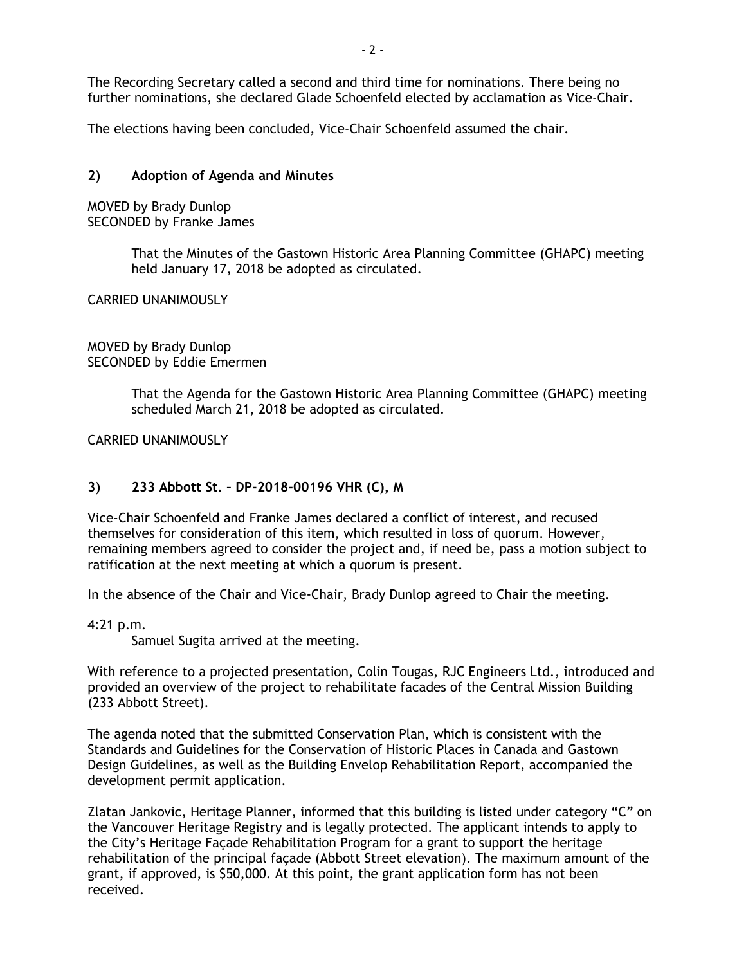The Recording Secretary called a second and third time for nominations. There being no further nominations, she declared Glade Schoenfeld elected by acclamation as Vice-Chair.

The elections having been concluded, Vice-Chair Schoenfeld assumed the chair.

# **2) Adoption of Agenda and Minutes**

MOVED by Brady Dunlop SECONDED by Franke James

> That the Minutes of the Gastown Historic Area Planning Committee (GHAPC) meeting held January 17, 2018 be adopted as circulated.

CARRIED UNANIMOUSLY

MOVED by Brady Dunlop SECONDED by Eddie Emermen

> That the Agenda for the Gastown Historic Area Planning Committee (GHAPC) meeting scheduled March 21, 2018 be adopted as circulated.

CARRIED UNANIMOUSLY

# **3) 233 Abbott St. – DP-2018-00196 VHR (C), M**

Vice-Chair Schoenfeld and Franke James declared a conflict of interest, and recused themselves for consideration of this item, which resulted in loss of quorum. However, remaining members agreed to consider the project and, if need be, pass a motion subject to ratification at the next meeting at which a quorum is present.

In the absence of the Chair and Vice-Chair, Brady Dunlop agreed to Chair the meeting.

4:21 p.m.

Samuel Sugita arrived at the meeting.

With reference to a projected presentation, Colin Tougas, RJC Engineers Ltd., introduced and provided an overview of the project to rehabilitate facades of the Central Mission Building (233 Abbott Street).

The agenda noted that the submitted Conservation Plan, which is consistent with the Standards and Guidelines for the Conservation of Historic Places in Canada and Gastown Design Guidelines, as well as the Building Envelop Rehabilitation Report, accompanied the development permit application.

Zlatan Jankovic, Heritage Planner, informed that this building is listed under category "C" on the Vancouver Heritage Registry and is legally protected. The applicant intends to apply to the City's Heritage Façade Rehabilitation Program for a grant to support the heritage rehabilitation of the principal façade (Abbott Street elevation). The maximum amount of the grant, if approved, is \$50,000. At this point, the grant application form has not been received.